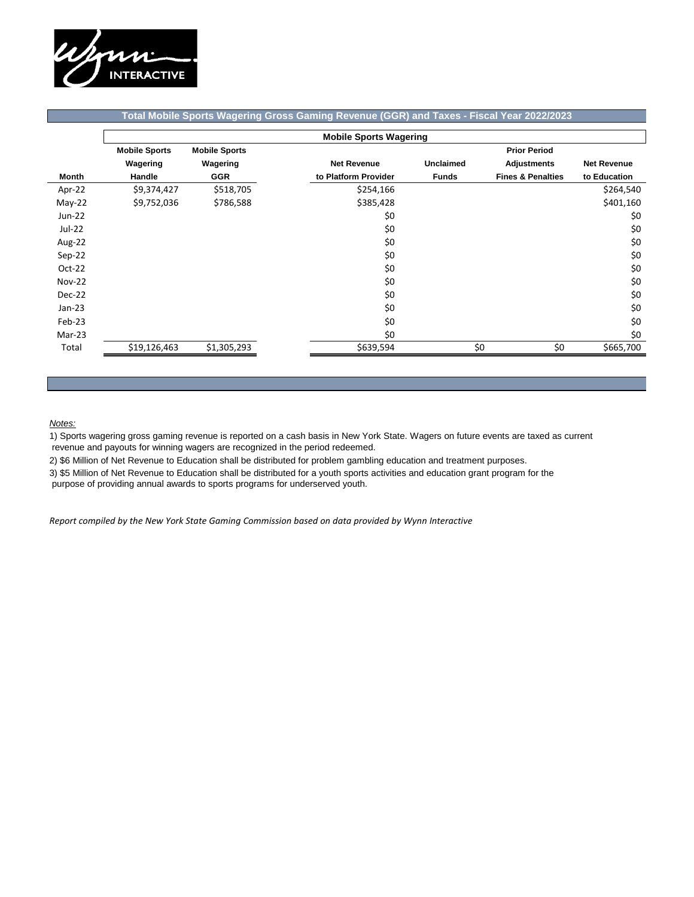

## **Total Mobile Sports Wagering Gross Gaming Revenue (GGR) and Taxes - Fiscal Year 2022/2023**

|               | <b>Mobile Sports Wagering</b> |                      |                      |                     |                              |                    |  |  |
|---------------|-------------------------------|----------------------|----------------------|---------------------|------------------------------|--------------------|--|--|
|               | <b>Mobile Sports</b>          | <b>Mobile Sports</b> |                      | <b>Prior Period</b> |                              |                    |  |  |
|               | Wagering                      | Wagering             | <b>Net Revenue</b>   | <b>Unclaimed</b>    | <b>Adjustments</b>           | <b>Net Revenue</b> |  |  |
| Month         | <b>Handle</b>                 | <b>GGR</b>           | to Platform Provider | <b>Funds</b>        | <b>Fines &amp; Penalties</b> | to Education       |  |  |
| Apr-22        | \$9,374,427                   | \$518,705            | \$254,166            |                     |                              | \$264,540          |  |  |
| $May-22$      | \$9,752,036                   | \$786,588            | \$385,428            |                     |                              | \$401,160          |  |  |
| Jun-22        |                               |                      | \$0                  |                     |                              | \$0                |  |  |
| Jul-22        |                               |                      | \$0                  |                     |                              | \$0                |  |  |
| Aug-22        |                               |                      | \$0                  |                     |                              | \$0                |  |  |
| Sep-22        |                               |                      | \$0                  |                     |                              | \$0                |  |  |
| $Oct-22$      |                               |                      | \$0                  |                     |                              | \$0                |  |  |
| <b>Nov-22</b> |                               |                      | \$0                  |                     |                              | \$0                |  |  |
| Dec-22        |                               |                      | \$0                  |                     |                              | \$0                |  |  |
| $Jan-23$      |                               |                      | \$0                  |                     |                              | \$0                |  |  |
| Feb-23        |                               |                      | \$0                  |                     |                              | \$0                |  |  |
| $Mar-23$      |                               |                      | \$0                  |                     |                              | \$0                |  |  |
| Total         | \$19,126,463                  | \$1,305,293          | \$639,594            | \$0                 | \$0                          | \$665,700          |  |  |

## *Notes:*

1) Sports wagering gross gaming revenue is reported on a cash basis in New York State. Wagers on future events are taxed as current revenue and payouts for winning wagers are recognized in the period redeemed.

2) \$6 Million of Net Revenue to Education shall be distributed for problem gambling education and treatment purposes.

3) \$5 Million of Net Revenue to Education shall be distributed for a youth sports activities and education grant program for the

purpose of providing annual awards to sports programs for underserved youth.

*Report compiled by the New York State Gaming Commission based on data provided by Wynn Interactive*